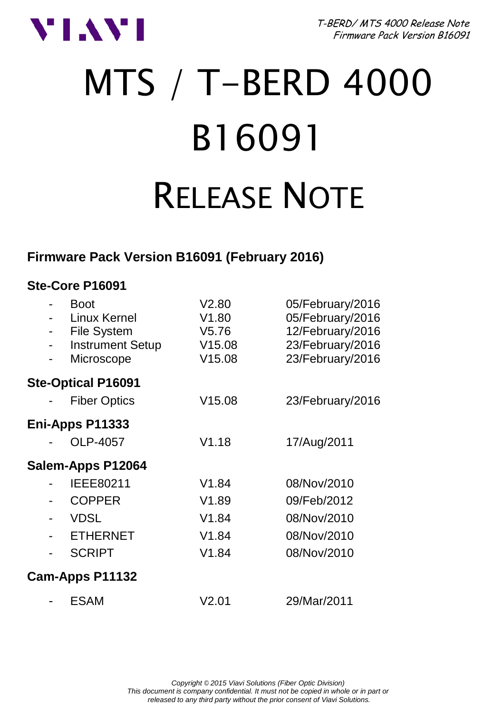

T-BERD/ MTS 4000 Release Note Firmware Pack Version B16091

# MTS / T-BERD 4000 B16091 RELEASE NOTE

#### **Firmware Pack Version B16091 (February 2016)**

| Ste-Core P16091                                                                                                           |                                             |                                                                                                  |
|---------------------------------------------------------------------------------------------------------------------------|---------------------------------------------|--------------------------------------------------------------------------------------------------|
| <b>Boot</b><br>Linux Kernel<br>File System<br>۰<br><b>Instrument Setup</b><br>$\overline{\phantom{a}}$<br>Microscope<br>۰ | V2.80<br>V1.80<br>V5.76<br>V15.08<br>V15.08 | 05/February/2016<br>05/February/2016<br>12/February/2016<br>23/February/2016<br>23/February/2016 |
| <b>Ste-Optical P16091</b>                                                                                                 |                                             |                                                                                                  |
| <b>Fiber Optics</b>                                                                                                       | V15.08                                      | 23/February/2016                                                                                 |
| Eni-Apps P11333                                                                                                           |                                             |                                                                                                  |
| OLP-4057                                                                                                                  | V1.18                                       | 17/Aug/2011                                                                                      |
| Salem-Apps P12064                                                                                                         |                                             |                                                                                                  |
| IEEE80211                                                                                                                 | V1.84                                       | 08/Nov/2010                                                                                      |
| <b>COPPER</b>                                                                                                             | V1.89                                       | 09/Feb/2012                                                                                      |
| <b>VDSL</b><br>۰                                                                                                          | V1.84                                       | 08/Nov/2010                                                                                      |
| <b>ETHERNET</b><br>۰                                                                                                      | V1.84                                       | 08/Nov/2010                                                                                      |
| <b>SCRIPT</b><br>۰                                                                                                        | V1.84                                       | 08/Nov/2010                                                                                      |
| Cam-Apps P11132                                                                                                           |                                             |                                                                                                  |
| <b>ESAM</b>                                                                                                               | V2.01                                       | 29/Mar/2011                                                                                      |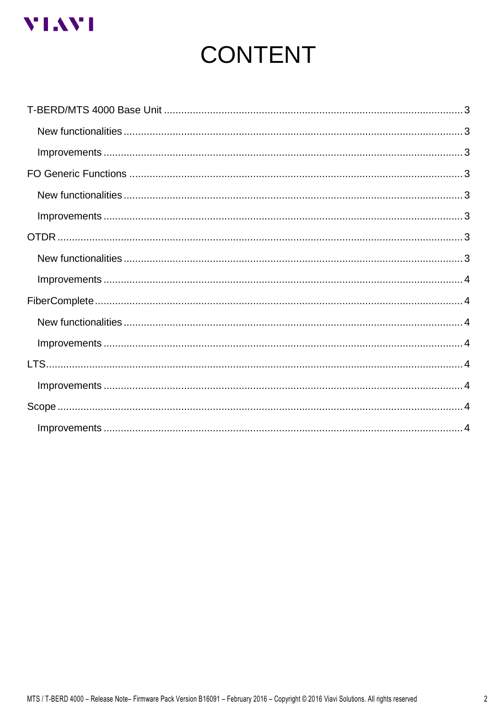

# **CONTENT**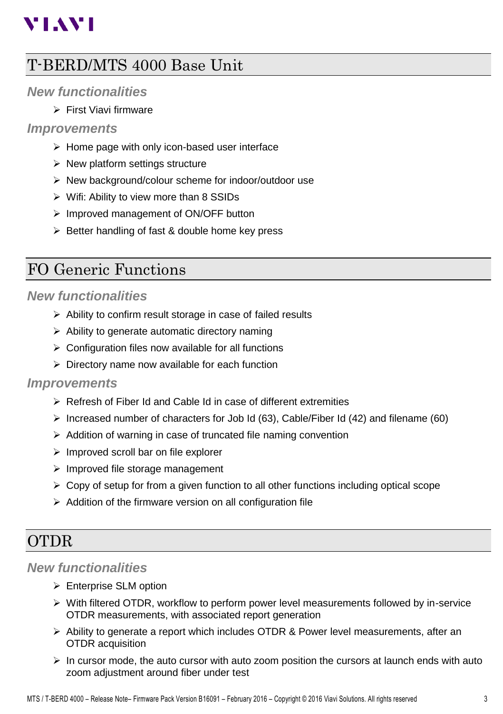# **VIAVI**

# <span id="page-2-0"></span>T-BERD/MTS 4000 Base Unit

#### <span id="page-2-1"></span>*New functionalities*

First Viavi firmware

#### <span id="page-2-2"></span>*Improvements*

- $\triangleright$  Home page with only icon-based user interface
- $\triangleright$  New platform settings structure
- $\triangleright$  New background/colour scheme for indoor/outdoor use
- $\triangleright$  Wifi: Ability to view more than 8 SSIDs
- $\triangleright$  Improved management of ON/OFF button
- $\triangleright$  Better handling of fast & double home key press

## <span id="page-2-3"></span>FO Generic Functions

#### <span id="page-2-4"></span>*New functionalities*

- $\triangleright$  Ability to confirm result storage in case of failed results
- $\triangleright$  Ability to generate automatic directory naming
- $\triangleright$  Configuration files now available for all functions
- $\triangleright$  Directory name now available for each function

#### <span id="page-2-5"></span>*Improvements*

- Refresh of Fiber Id and Cable Id in case of different extremities
- $\triangleright$  Increased number of characters for Job Id (63), Cable/Fiber Id (42) and filename (60)
- $\triangleright$  Addition of warning in case of truncated file naming convention
- $\triangleright$  Improved scroll bar on file explorer
- $\triangleright$  Improved file storage management
- $\triangleright$  Copy of setup for from a given function to all other functions including optical scope
- $\triangleright$  Addition of the firmware version on all configuration file

# <span id="page-2-6"></span>OTDR

#### <span id="page-2-7"></span>*New functionalities*

- Enterprise SLM option
- $\triangleright$  With filtered OTDR, workflow to perform power level measurements followed by in-service OTDR measurements, with associated report generation
- $\triangleright$  Ability to generate a report which includes OTDR & Power level measurements, after an OTDR acquisition
- $\triangleright$  In cursor mode, the auto cursor with auto zoom position the cursors at launch ends with auto zoom adjustment around fiber under test